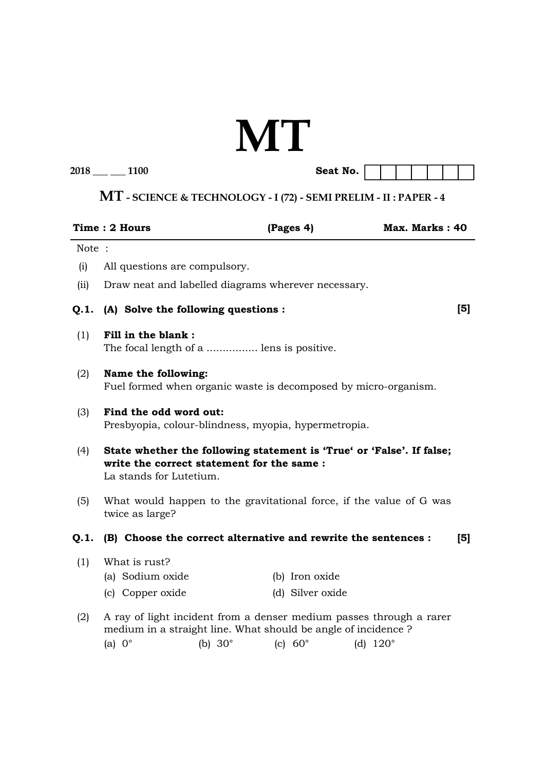|           | MT                                                                |  |  |  |  |
|-----------|-------------------------------------------------------------------|--|--|--|--|
| 2018 1100 | Seat No. $\vert \vert \vert \vert \vert \vert \vert \vert$        |  |  |  |  |
|           | MT - SCIENCE & TECHNOLOGY - I (72) - SEMI PRELIM - II : PAPER - 4 |  |  |  |  |

|       | Time: 2 Hours                                                                          |                | (Pages 4)                          | Max. Marks: 40                                                                           |  |
|-------|----------------------------------------------------------------------------------------|----------------|------------------------------------|------------------------------------------------------------------------------------------|--|
| Note: |                                                                                        |                |                                    |                                                                                          |  |
| (i)   | All questions are compulsory.                                                          |                |                                    |                                                                                          |  |
| (ii)  | Draw neat and labelled diagrams wherever necessary.                                    |                |                                    |                                                                                          |  |
| Q.1.  | (A) Solve the following questions :                                                    |                |                                    | [5]                                                                                      |  |
| (1)   | Fill in the blank:<br>The focal length of a  lens is positive.                         |                |                                    |                                                                                          |  |
| (2)   | Name the following:<br>Fuel formed when organic waste is decomposed by micro-organism. |                |                                    |                                                                                          |  |
| (3)   | Find the odd word out:<br>Presbyopia, colour-blindness, myopia, hypermetropia.         |                |                                    |                                                                                          |  |
| (4)   | write the correct statement for the same:<br>La stands for Lutetium.                   |                |                                    | State whether the following statement is 'True' or 'False'. If false;                    |  |
| (5)   | twice as large?                                                                        |                |                                    | What would happen to the gravitational force, if the value of G was                      |  |
| Q.1.  | (B) Choose the correct alternative and rewrite the sentences :                         |                |                                    | $\mathsf{[5]}$                                                                           |  |
| (1)   | What is rust?<br>(a) Sodium oxide<br>(c) Copper oxide                                  |                | (b) Iron oxide<br>(d) Silver oxide |                                                                                          |  |
| (2)   | medium in a straight line. What should be angle of incidence?<br>(a) $0^{\circ}$       | (b) $30^\circ$ | (c) $60^\circ$                     | A ray of light incident from a denser medium passes through a rarer<br>(d) $120^{\circ}$ |  |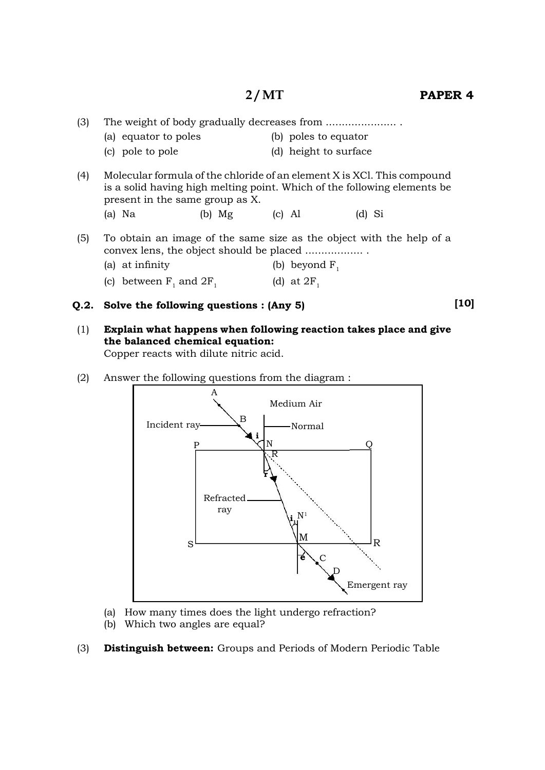|--|

- (a) equator to poles (b) poles to equator
- (c) pole to pole (d) height to surface
- (4) Molecular formula of the chloride of an element X is XCl. This compound is a solid having high melting point. Which of the following elements be present in the same group as X.
	- (a) Na  $($ b) Mg  $($ c) Al  $($ d) Si
- (5) To obtain an image of the same size as the object with the help of a convex lens, the object should be placed .................. .
	- (a) at infinity (b) beyond  $F_1$
	- (c) between  $F_1$  and  $2F_1$ (d) at  $2F_1$

## **Q.2. Solve the following questions : (Any 5)**

## (1) **Explain what happens when following reaction takes place and give the balanced chemical equation:**

Copper reacts with dilute nitric acid.

(2) Answer the following questions from the diagram :



- (a) How many times does the light undergo refraction?
- (b) Which two angles are equal?
- (3) **Distinguish between:** Groups and Periods of Modern Periodic Table

**[10]**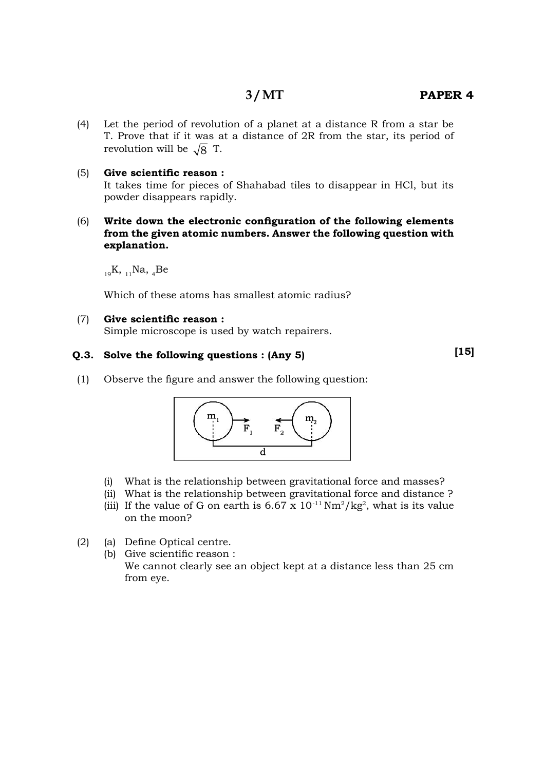(4) Let the period of revolution of a planet at a distance R from a star be T. Prove that if it was at a distance of 2R from the star, its period of revolution will be  $\sqrt{8}$  T.

## (5) Give scientific reason :

 It takes time for pieces of Shahabad tiles to disappear in HCl, but its powder disappears rapidly.

(6) Write down the electronic configuration of the following elements **from the given atomic numbers. Answer the following question with explanation.**

 $_{19}K$ ,  $_{11}Na$ ,  $_{4}Be$ 

Which of these atoms has smallest atomic radius?

### (7) Give scientific reason :

Simple microscope is used by watch repairers.

## **Q.3. Solve the following questions : (Any 5)**

(1) Observe the figure and answer the following question:



- (i) What is the relationship between gravitational force and masses?
- (ii) What is the relationship between gravitational force and distance ?
- (iii) If the value of G on earth is  $6.67 \times 10^{-11}$  Nm<sup>2</sup>/kg<sup>2</sup>, what is its value on the moon?
- $(2)$  (a) Define Optical centre.
	- (b) Give scientific reason : We cannot clearly see an object kept at a distance less than 25 cm from eye.

**[15]**